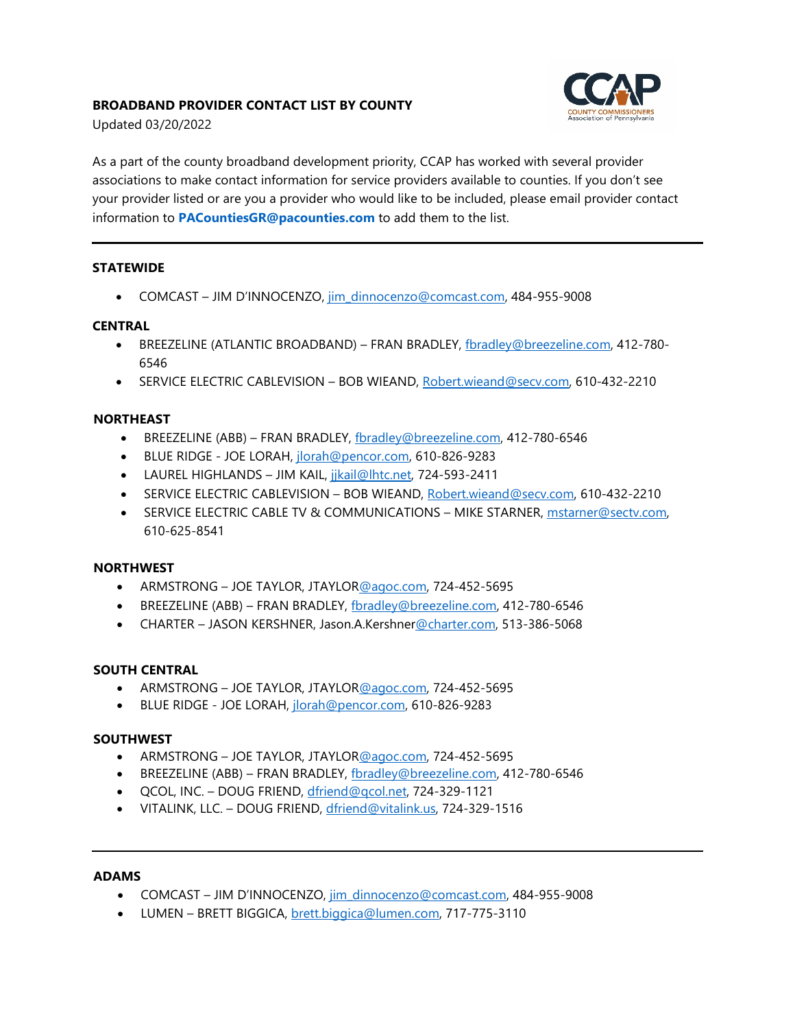# **BROADBAND PROVIDER CONTACT LIST BY COUNTY**



Updated 03/20/2022

As a part of the county broadband development priority, CCAP has worked with several provider associations to make contact information for service providers available to counties. If you don't see your provider listed or are you a provider who would like to be included, please email provider contact information to **[PACountiesGR@pacounties.com](mailto:PACountiesGR@pacounties.com)** to add them to the list.

# **STATEWIDE**

• COMCAST – JIM D'INNOCENZO, jim\_dinnocenzo@comcast.com, 484-955-9008

# **CENTRAL**

- BREEZELINE (ATLANTIC BROADBAND) FRAN BRADLEY, [fbradley@breezeline.com,](mailto:fbradley@breezeline.com) 412-780-6546
- SERVICE ELECTRIC CABLEVISION BOB WIEAND, Robert.wieand@secv.com, 610-432-2210

# **NORTHEAST**

- BREEZELINE (ABB) FRAN BRADLEY, fbradley@breezeline.com, 412-780-6546
- BLUE RIDGE JOE LORAH, [jlorah@pencor.com,](mailto:jlorah@pencor.com) 610-826-9283
- LAUREL HIGHLANDS JIM KAIL, jikail@lhtc.net, 724-593-2411
- SERVICE ELECTRIC CABLEVISION BOB WIEAND, Robert.wieand@secv.com, 610-432-2210
- SERVICE ELECTRIC CABLE TV & COMMUNICATIONS MIKE STARNER, mstarner@sectv.com, 610-625-8541

# **NORTHWEST**

- ARMSTRONG JOE TAYLOR, JTAYLOR@agoc.com, 724-452-5695
- BREEZELINE (ABB) FRAN BRADLEY, [fbradley@breezeline.com,](mailto:fbradley@breezeline.com) 412-780-6546
- CHARTER JASON KERSHNER, Jason.A.Kershner@charter.com, 513-386-5068

# **SOUTH CENTRAL**

- ARMSTRONG JOE TAYLOR, JTAYLOR@agoc.com, 724-452-5695
- BLUE RIDGE JOE LORAH, *jlorah@pencor.com*, 610-826-9283

# **SOUTHWEST**

- ARMSTRONG JOE TAYLOR, JTAYLOR@agoc.com, 724-452-5695
- BREEZELINE (ABB) FRAN BRADLEY, fbradley@breezeline.com, 412-780-6546
- QCOL, INC. DOUG FRIEND, [dfriend@qcol.net,](mailto:dfriend@qcol.net) 724-329-1121
- VITALINK, LLC. DOUG FRIEND, [dfriend@vitalink.us,](mailto:dfriend@vitalink.us) 724-329-1516

#### **ADAMS**

- COMCAST JIM D'INNOCENZO, jim\_dinnocenzo@comcast.com, 484-955-9008
- LUMEN BRETT BIGGICA, brett.biggica@lumen.com, 717-775-3110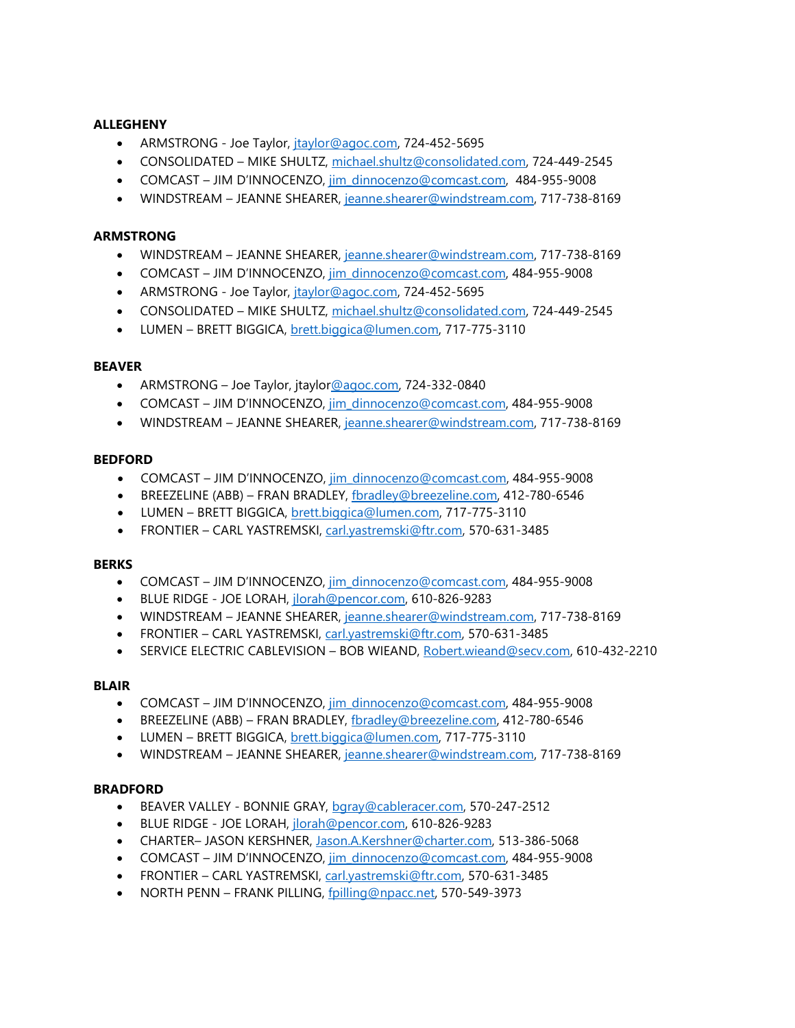# **ALLEGHENY**

- ARMSTRONG Joe Taylor, *jtaylor@agoc.com*, 724-452-5695
- CONSOLIDATED MIKE SHULTZ, [michael.shultz@consolidated.com,](mailto:michael.shultz@consolidated.com) 724-449-2545
- COMCAST JIM D'INNOCENZO, [jim\\_dinnocenzo@comcast.com,](mailto:jim_dinnocenzo@comcast.com) 484-955-9008
- WINDSTREAM JEANNE SHEARER, jeanne.shearer@windstream.com, 717-738-8169

# **ARMSTRONG**

- WINDSTREAM JEANNE SHEARER, [jeanne.shearer@windstream.com,](mailto:jeanne.shearer@windstream.com) 717-738-8169
- COMCAST JIM D'INNOCENZO, [jim\\_dinnocenzo@comcast.com,](mailto:jim_dinnocenzo@comcast.com) 484-955-9008
- ARMSTRONG Joe Taylor, *jtaylor@agoc.com, 724-452-5695*
- CONSOLIDATED MIKE SHULTZ, [michael.shultz@consolidated.com,](mailto:michael.shultz@consolidated.com) 724-449-2545
- LUMEN BRETT BIGGICA, [brett.biggica@lumen.com,](mailto:brett.biggica@lumen.com) 717-775-3110

#### **BEAVER**

- ARMSTRONG Joe Taylor, jtaylor@agoc.com, 724-332-0840
- COMCAST JIM D'INNOCENZO, jim\_dinnocenzo@comcast.com, 484-955-9008
- WINDSTREAM JEANNE SHEARER, [jeanne.shearer@windstream.com,](mailto:jeanne.shearer@windstream.com) 717-738-8169

### **BEDFORD**

- COMCAST JIM D'INNOCENZO, jim\_dinnocenzo@comcast.com, 484-955-9008
- BREEZELINE (ABB) FRAN BRADLEY, fbradley@breezeline.com, 412-780-6546
- LUMEN BRETT BIGGICA, brett.biggica@lumen.com, 717-775-3110
- FRONTIER CARL YASTREMSKI, carl.yastremski@ftr.com, 570-631-3485

#### **BERKS**

- COMCAST JIM D'INNOCENZO, jim\_dinnocenzo@comcast.com, 484-955-9008
- BLUE RIDGE JOE LORAH, jlorah@pencor.com, 610-826-9283
- WINDSTREAM JEANNE SHEARER, jeanne.shearer@windstream.com, 717-738-8169
- FRONTIER CARL YASTREMSKI, carl.yastremski@ftr.com, 570-631-3485
- SERVICE ELECTRIC CABLEVISION BOB WIEAND, Robert.wieand@secv.com, 610-432-2210

# **BLAIR**

- COMCAST JIM D'INNOCENZO, [jim\\_dinnocenzo@comcast.com,](mailto:jim_dinnocenzo@comcast.com) 484-955-9008
- BREEZELINE (ABB) FRAN BRADLEY, [fbradley@breezeline.com,](mailto:fbradley@breezeline.com) 412-780-6546
- LUMEN BRETT BIGGICA, [brett.biggica@lumen.com,](mailto:brett.biggica@lumen.com) 717-775-3110
- WINDSTREAM JEANNE SHEARER, [jeanne.shearer@windstream.com,](mailto:jeanne.shearer@windstream.com) 717-738-8169

# **BRADFORD**

- BEAVER VALLEY BONNIE GRAY, baray@cableracer.com, 570-247-2512
- BLUE RIDGE JOE LORAH, [jlorah@pencor.com,](mailto:jlorah@pencor.com) 610-826-9283
- CHARTER– JASON KERSHNER, [Jason.A.Kershner@charter.com,](mailto:Jason.A.Kershner@charter.com) 513-386-5068
- COMCAST JIM D'INNOCENZO, [jim\\_dinnocenzo@comcast.com,](mailto:jim_dinnocenzo@comcast.com) 484-955-9008
- FRONTIER CARL YASTREMSKI, [carl.yastremski@ftr.com,](mailto:carl.yastremski@ftr.com) 570-631-3485
- NORTH PENN FRANK PILLING, [fpilling@npacc.net,](mailto:fpilling@npacc.net) 570-549-3973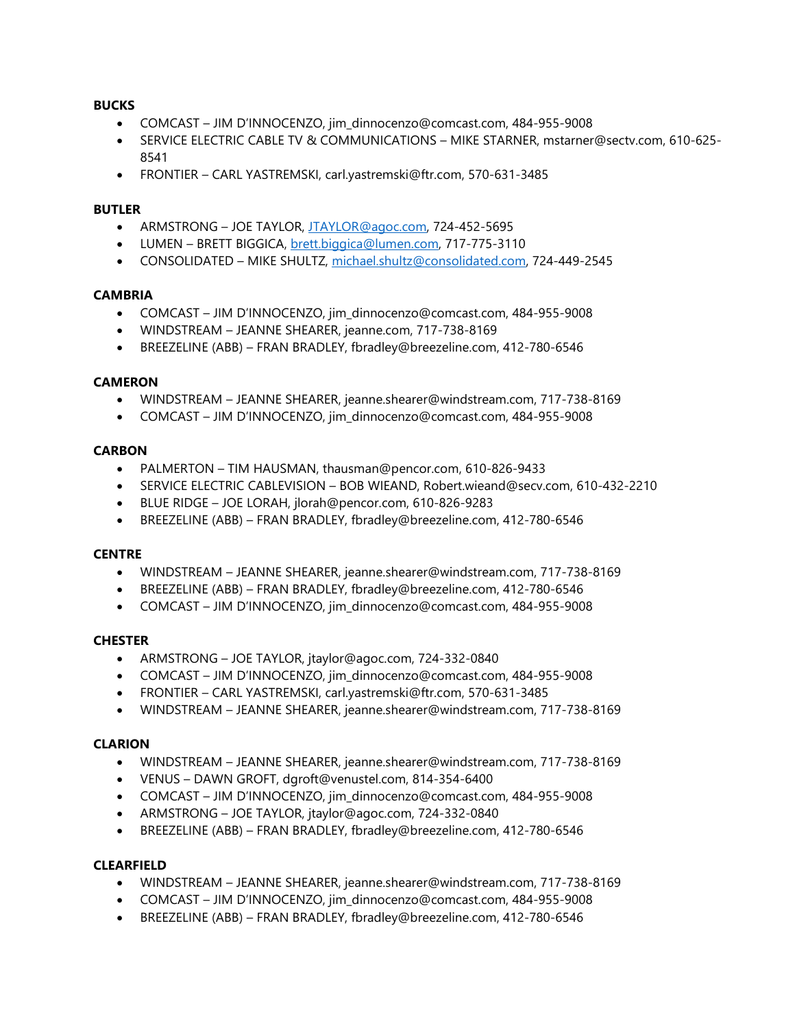## **BUCKS**

- COMCAST JIM D'INNOCENZO, jim\_dinnocenzo@comcast.com, 484-955-9008
- SERVICE ELECTRIC CABLE TV & COMMUNICATIONS MIKE STARNER, mstarner@sectv.com, 610-625- 8541
- FRONTIER CARL YASTREMSKI, carl.yastremski@ftr.com, 570-631-3485

## **BUTLER**

- ARMSTRONG JOE TAYLOR, [JTAYLOR@agoc.com,](mailto:JTAYLOR@agoc.com) 724-452-5695
- LUMEN BRETT BIGGICA, [brett.biggica@lumen.com,](mailto:brett.biggica@lumen.com) 717-775-3110
- CONSOLIDATED MIKE SHULTZ, [michael.shultz@consolidated.com,](mailto:michael.shultz@consolidated.com) 724-449-2545

### **CAMBRIA**

- COMCAST JIM D'INNOCENZO, jim\_dinnocenzo@comcast.com, 484-955-9008
- WINDSTREAM JEANNE SHEARER, jeanne.com, 717-738-8169
- BREEZELINE (ABB) FRAN BRADLEY, fbradley@breezeline.com, 412-780-6546

### **CAMERON**

- WINDSTREAM JEANNE SHEARER, jeanne.shearer@windstream.com, 717-738-8169
- COMCAST JIM D'INNOCENZO, jim\_dinnocenzo@comcast.com, 484-955-9008

### **CARBON**

- PALMERTON TIM HAUSMAN, thausman@pencor.com, 610-826-9433
- SERVICE ELECTRIC CABLEVISION BOB WIEAND, Robert.wieand@secv.com, 610-432-2210
- BLUE RIDGE JOE LORAH, jlorah@pencor.com, 610-826-9283
- BREEZELINE (ABB) FRAN BRADLEY, fbradley@breezeline.com, 412-780-6546

#### **CENTRE**

- WINDSTREAM JEANNE SHEARER, jeanne.shearer@windstream.com, 717-738-8169
- BREEZELINE (ABB) FRAN BRADLEY, fbradley@breezeline.com, 412-780-6546
- COMCAST JIM D'INNOCENZO, jim\_dinnocenzo@comcast.com, 484-955-9008

#### **CHESTER**

- ARMSTRONG JOE TAYLOR, jtaylor@agoc.com, 724-332-0840
- COMCAST JIM D'INNOCENZO, jim\_dinnocenzo@comcast.com, 484-955-9008
- FRONTIER CARL YASTREMSKI, carl.yastremski@ftr.com, 570-631-3485
- WINDSTREAM JEANNE SHEARER, jeanne.shearer@windstream.com, 717-738-8169

#### **CLARION**

- WINDSTREAM JEANNE SHEARER, jeanne.shearer@windstream.com, 717-738-8169
- VENUS DAWN GROFT, dgroft@venustel.com, 814-354-6400
- COMCAST JIM D'INNOCENZO, jim\_dinnocenzo@comcast.com, 484-955-9008
- ARMSTRONG JOE TAYLOR, jtaylor@agoc.com, 724-332-0840
- BREEZELINE (ABB) FRAN BRADLEY, fbradley@breezeline.com, 412-780-6546

# **CLEARFIELD**

- WINDSTREAM JEANNE SHEARER, jeanne.shearer@windstream.com, 717-738-8169
- COMCAST JIM D'INNOCENZO, jim\_dinnocenzo@comcast.com, 484-955-9008
- BREEZELINE (ABB) FRAN BRADLEY, fbradley@breezeline.com, 412-780-6546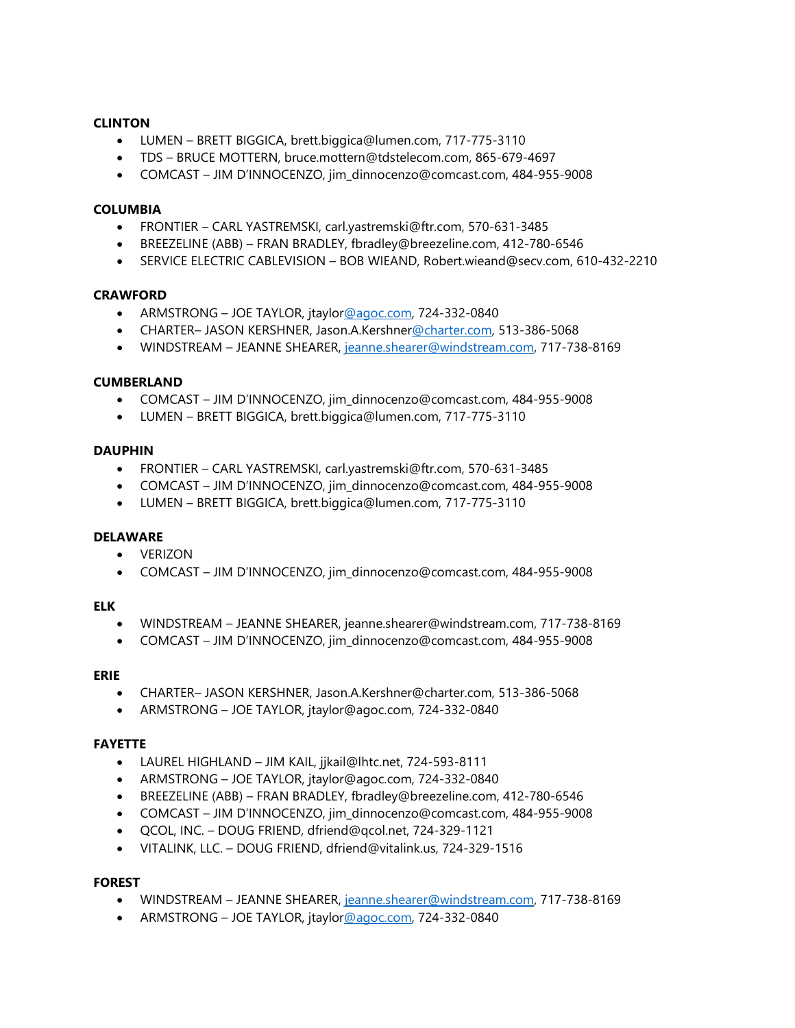### **CLINTON**

- LUMEN BRETT BIGGICA, brett.biggica@lumen.com, 717-775-3110
- TDS BRUCE MOTTERN, bruce.mottern@tdstelecom.com, 865-679-4697
- COMCAST JIM D'INNOCENZO, jim\_dinnocenzo@comcast.com, 484-955-9008

#### **COLUMBIA**

- FRONTIER CARL YASTREMSKI, carl.yastremski@ftr.com, 570-631-3485
- BREEZELINE (ABB) FRAN BRADLEY, fbradley@breezeline.com, 412-780-6546
- SERVICE ELECTRIC CABLEVISION BOB WIEAND, Robert.wieand@secv.com, 610-432-2210

#### **CRAWFORD**

- ARMSTRONG JOE TAYLOR, jtaylor@agoc.com, 724-332-0840
- CHARTER– JASON KERSHNER, Jason.A.Kershner@charter.com, 513-386-5068
- WINDSTREAM JEANNE SHEARER, jeanne.shearer@windstream.com, 717-738-8169

#### **CUMBERLAND**

- COMCAST JIM D'INNOCENZO, jim\_dinnocenzo@comcast.com, 484-955-9008
- LUMEN BRETT BIGGICA, brett.biggica@lumen.com, 717-775-3110

### **DAUPHIN**

- FRONTIER CARL YASTREMSKI, carl.yastremski@ftr.com, 570-631-3485
- COMCAST JIM D'INNOCENZO, jim\_dinnocenzo@comcast.com, 484-955-9008
- LUMEN BRETT BIGGICA, brett.biggica@lumen.com, 717-775-3110

#### **DELAWARE**

- VERIZON
- COMCAST JIM D'INNOCENZO, jim\_dinnocenzo@comcast.com, 484-955-9008

#### **ELK**

- WINDSTREAM JEANNE SHEARER, jeanne.shearer@windstream.com, 717-738-8169
- COMCAST JIM D'INNOCENZO, jim\_dinnocenzo@comcast.com, 484-955-9008

#### **ERIE**

- CHARTER– JASON KERSHNER, Jason.A.Kershner@charter.com, 513-386-5068
- ARMSTRONG JOE TAYLOR, jtaylor@agoc.com, 724-332-0840

#### **FAYETTE**

- LAUREL HIGHLAND JIM KAIL, jjkail@lhtc.net, 724-593-8111
- ARMSTRONG JOE TAYLOR, jtaylor@agoc.com, 724-332-0840
- BREEZELINE (ABB) FRAN BRADLEY, fbradley@breezeline.com, 412-780-6546
- COMCAST JIM D'INNOCENZO, jim\_dinnocenzo@comcast.com, 484-955-9008
- QCOL, INC. DOUG FRIEND, dfriend@qcol.net, 724-329-1121
- VITALINK, LLC. DOUG FRIEND, dfriend@vitalink.us, 724-329-1516

### **FOREST**

- WINDSTREAM JEANNE SHEARER, jeanne.shearer@windstream.com, 717-738-8169
- ARMSTRONG JOE TAYLOR, jtaylor@agoc.com, 724-332-0840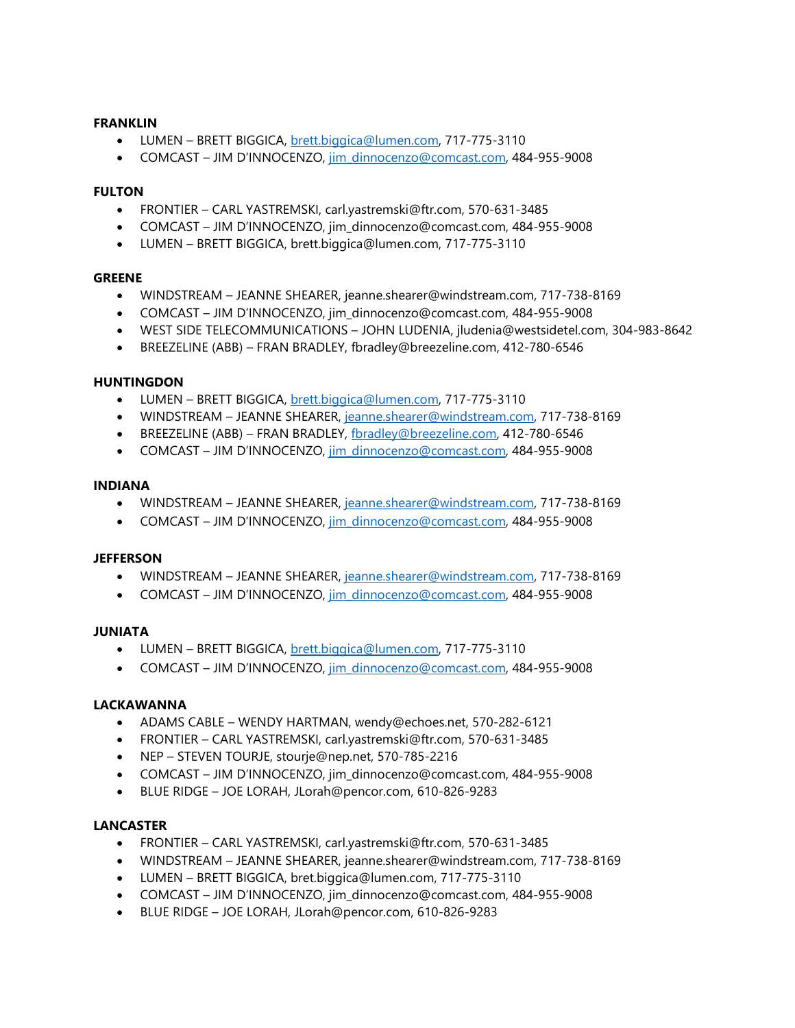### **FRANKLIN**

- LUMEN BRETT BIGGICA, brett.biggica@lumen.com, 717-775-3110
- COMCAST JIM D'INNOCENZO, jim\_dinnocenzo@comcast.com, 484-955-9008

#### **FULTON**

- FRONTIER CARL YASTREMSKI, carl.yastremski@ftr.com, 570-631-3485
- COMCAST JIM D'INNOCENZO, jim\_dinnocenzo@comcast.com, 484-955-9008
- LUMEN BRETT BIGGICA, brett.biggica@lumen.com, 717-775-3110

### **GREENE**

- WINDSTREAM JEANNE SHEARER, jeanne.shearer@windstream.com, 717-738-8169
- COMCAST JIM D'INNOCENZO, jim\_dinnocenzo@comcast.com, 484-955-9008
- WEST SIDE TELECOMMUNICATIONS JOHN LUDENIA, jludenia@westsidetel.com, 304-983-8642
- BREEZELINE (ABB) FRAN BRADLEY, fbradley@breezeline.com, 412-780-6546

#### **HUNTINGDON**

- LUMEN BRETT BIGGICA, brett.biggica@lumen.com, 717-775-3110
- WINDSTREAM JEANNE SHEARER, jeanne.shearer@windstream.com, 717-738-8169
- BREEZELINE (ABB) FRAN BRADLEY, fbradley@breezeline.com, 412-780-6546
- COMCAST JIM D'INNOCENZO, jim\_dinnocenzo@comcast.com, 484-955-9008

#### **INDIANA**

- WINDSTREAM JEANNE SHEARER, jeanne.shearer@windstream.com, 717-738-8169
- COMCAST JIM D'INNOCENZO, [jim\\_dinnocenzo@comcast.com,](mailto:jim_dinnocenzo@comcast.com) 484-955-9008

#### **JEFFERSON**

- WINDSTREAM JEANNE SHEARER, jeanne.shearer@windstream.com, 717-738-8169
- COMCAST JIM D'INNOCENZO, [jim\\_dinnocenzo@comcast.com,](mailto:jim_dinnocenzo@comcast.com) 484-955-9008

#### **JUNIATA**

- LUMEN BRETT BIGGICA, brett.biggica@lumen.com, 717-775-3110
- COMCAST JIM D'INNOCENZO, [jim\\_dinnocenzo@comcast.com,](mailto:jim_dinnocenzo@comcast.com) 484-955-9008

#### **LACKAWANNA**

- ADAMS CABLE WENDY HARTMAN, wendy@echoes.net, 570-282-6121
- FRONTIER CARL YASTREMSKI, carl.yastremski@ftr.com, 570-631-3485
- NEP STEVEN TOURJE, stourje@nep.net, 570-785-2216
- COMCAST JIM D'INNOCENZO, jim\_dinnocenzo@comcast.com, 484-955-9008
- BLUE RIDGE JOE LORAH, JLorah@pencor.com, 610-826-9283

#### **LANCASTER**

- FRONTIER CARL YASTREMSKI, carl.yastremski@ftr.com, 570-631-3485
- WINDSTREAM JEANNE SHEARER, jeanne.shearer@windstream.com, 717-738-8169
- LUMEN BRETT BIGGICA, bret.biggica@lumen.com, 717-775-3110
- COMCAST JIM D'INNOCENZO, jim\_dinnocenzo@comcast.com, 484-955-9008
- BLUE RIDGE JOE LORAH, JLorah@pencor.com, 610-826-9283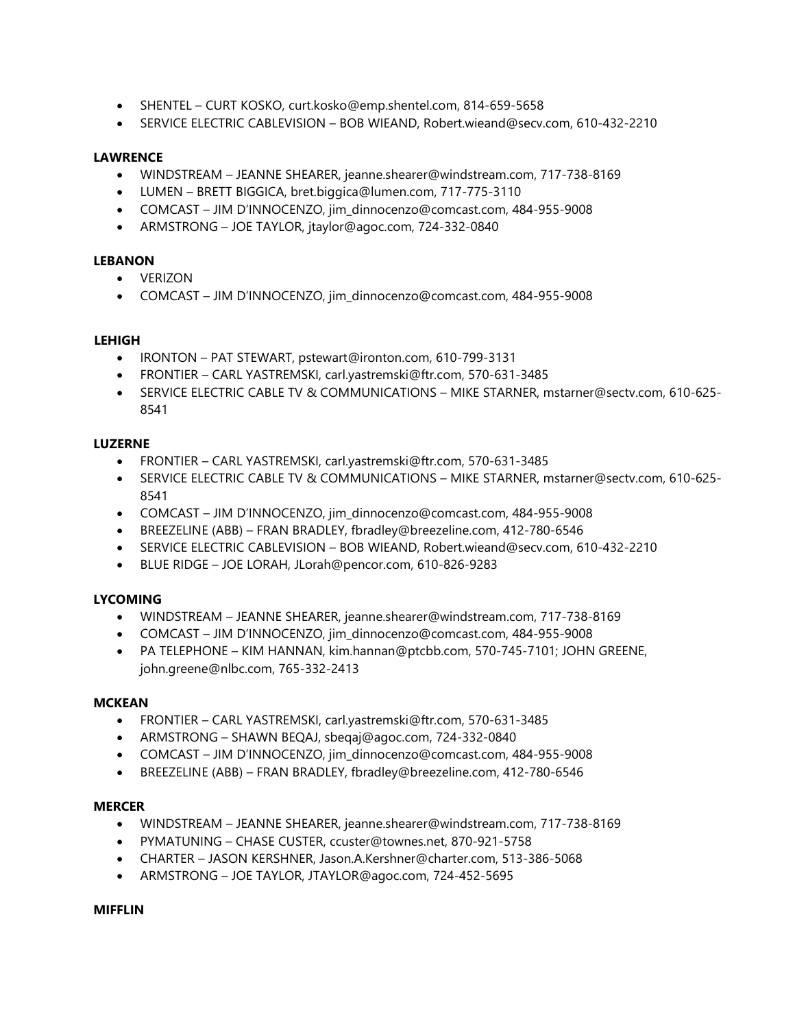- SHENTEL CURT KOSKO, curt.kosko@emp.shentel.com, 814-659-5658
- SERVICE ELECTRIC CABLEVISION BOB WIEAND, Robert.wieand@secv.com, 610-432-2210

# **LAWRENCE**

- WINDSTREAM JEANNE SHEARER, jeanne.shearer@windstream.com, 717-738-8169
- LUMEN BRETT BIGGICA, bret.biggica@lumen.com, 717-775-3110
- COMCAST JIM D'INNOCENZO, jim\_dinnocenzo@comcast.com, 484-955-9008
- ARMSTRONG JOE TAYLOR, jtaylor@agoc.com, 724-332-0840

# **LEBANON**

- VERIZON
- COMCAST JIM D'INNOCENZO, jim\_dinnocenzo@comcast.com, 484-955-9008

### **LEHIGH**

- IRONTON PAT STEWART, pstewart@ironton.com, 610-799-3131
- FRONTIER CARL YASTREMSKI, carl.yastremski@ftr.com, 570-631-3485
- SERVICE ELECTRIC CABLE TV & COMMUNICATIONS MIKE STARNER, mstarner@sectv.com, 610-625- 8541

### **LUZERNE**

- FRONTIER CARL YASTREMSKI, carl.yastremski@ftr.com, 570-631-3485
- SERVICE ELECTRIC CABLE TV & COMMUNICATIONS MIKE STARNER, mstarner@sectv.com, 610-625- 8541
- COMCAST JIM D'INNOCENZO, jim\_dinnocenzo@comcast.com, 484-955-9008
- BREEZELINE (ABB) FRAN BRADLEY, fbradley@breezeline.com, 412-780-6546
- SERVICE ELECTRIC CABLEVISION BOB WIEAND, Robert.wieand@secv.com, 610-432-2210
- BLUE RIDGE JOE LORAH, JLorah@pencor.com, 610-826-9283

# **LYCOMING**

- WINDSTREAM JEANNE SHEARER, jeanne.shearer@windstream.com, 717-738-8169
- COMCAST JIM D'INNOCENZO, jim\_dinnocenzo@comcast.com, 484-955-9008
- PA TELEPHONE KIM HANNAN, kim.hannan@ptcbb.com, 570-745-7101; JOHN GREENE, john.greene@nlbc.com, 765-332-2413

#### **MCKEAN**

- FRONTIER CARL YASTREMSKI, carl.yastremski@ftr.com, 570-631-3485
- ARMSTRONG SHAWN BEQAJ, sbeqaj@agoc.com, 724-332-0840
- COMCAST JIM D'INNOCENZO, jim\_dinnocenzo@comcast.com, 484-955-9008
- BREEZELINE (ABB) FRAN BRADLEY, fbradley@breezeline.com, 412-780-6546

# **MERCER**

- WINDSTREAM JEANNE SHEARER, jeanne.shearer@windstream.com, 717-738-8169
- PYMATUNING CHASE CUSTER, ccuster@townes.net, 870-921-5758
- CHARTER JASON KERSHNER, Jason.A.Kershner@charter.com, 513-386-5068
- ARMSTRONG JOE TAYLOR, JTAYLOR@agoc.com, 724-452-5695

### **MIFFLIN**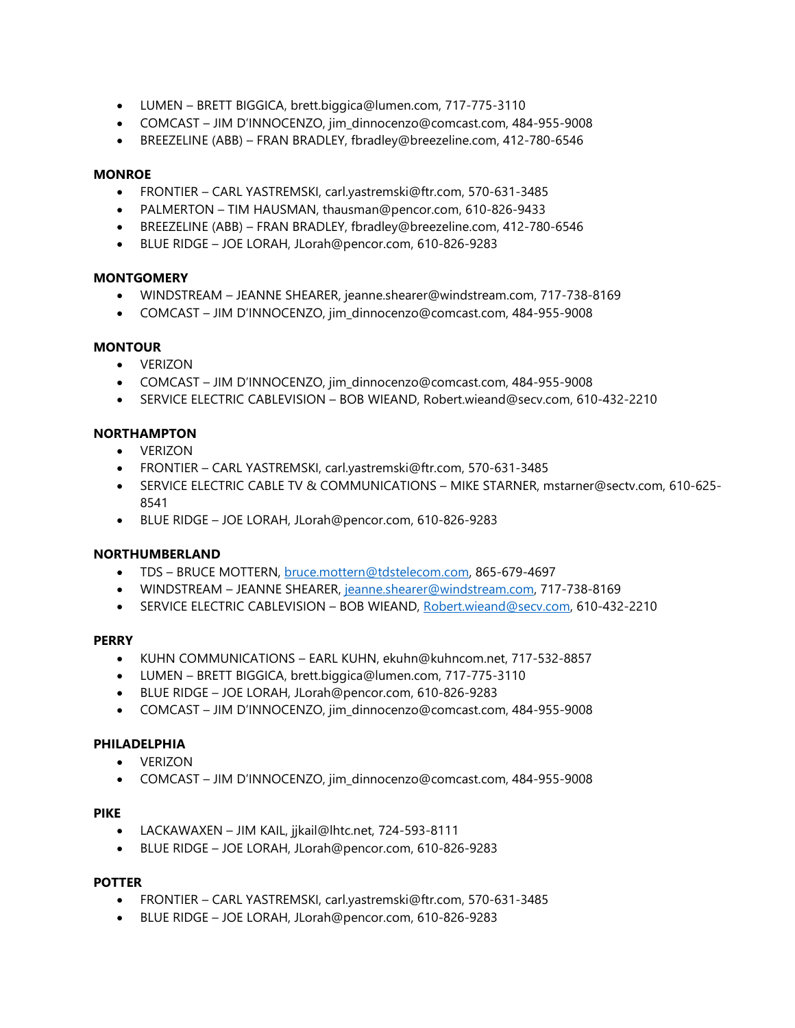- LUMEN BRETT BIGGICA, brett.biggica@lumen.com, 717-775-3110
- COMCAST JIM D'INNOCENZO, jim\_dinnocenzo@comcast.com, 484-955-9008
- BREEZELINE (ABB) FRAN BRADLEY, fbradley@breezeline.com, 412-780-6546

## **MONROE**

- FRONTIER CARL YASTREMSKI, carl.yastremski@ftr.com, 570-631-3485
- PALMERTON TIM HAUSMAN, thausman@pencor.com, 610-826-9433
- BREEZELINE (ABB) FRAN BRADLEY, fbradley@breezeline.com, 412-780-6546
- BLUE RIDGE JOE LORAH, JLorah@pencor.com, 610-826-9283

# **MONTGOMERY**

- WINDSTREAM JEANNE SHEARER, jeanne.shearer@windstream.com, 717-738-8169
- COMCAST JIM D'INNOCENZO, jim\_dinnocenzo@comcast.com, 484-955-9008

# **MONTOUR**

- VERIZON
- COMCAST JIM D'INNOCENZO, jim\_dinnocenzo@comcast.com, 484-955-9008
- SERVICE ELECTRIC CABLEVISION BOB WIEAND, Robert.wieand@secv.com, 610-432-2210

# **NORTHAMPTON**

- VERIZON
- FRONTIER CARL YASTREMSKI, carl.yastremski@ftr.com, 570-631-3485
- SERVICE ELECTRIC CABLE TV & COMMUNICATIONS MIKE STARNER, mstarner@sectv.com, 610-625- 8541
- BLUE RIDGE JOE LORAH, JLorah@pencor.com, 610-826-9283

# **NORTHUMBERLAND**

- TDS BRUCE MOTTERN, [bruce.mottern@tdstelecom.com,](mailto:bruce.mottern@tdstelecom.com) 865-679-4697
- WINDSTREAM JEANNE SHEARER, [jeanne.shearer@windstream.com,](mailto:jeanne.shearer@windstream.com) 717-738-8169
- SERVICE ELECTRIC CABLEVISION BOB WIEAND, [Robert.wieand@secv.com,](mailto:Robert.wieand@secv.com) 610-432-2210

# **PERRY**

- KUHN COMMUNICATIONS EARL KUHN, ekuhn@kuhncom.net, 717-532-8857
- LUMEN BRETT BIGGICA, brett.biggica@lumen.com, 717-775-3110
- BLUE RIDGE JOE LORAH, JLorah@pencor.com, 610-826-9283
- COMCAST JIM D'INNOCENZO, jim\_dinnocenzo@comcast.com, 484-955-9008

# **PHILADELPHIA**

- VERIZON
- COMCAST JIM D'INNOCENZO, jim\_dinnocenzo@comcast.com, 484-955-9008

# **PIKE**

- LACKAWAXEN JIM KAIL, jjkail@lhtc.net, 724-593-8111
- BLUE RIDGE JOE LORAH, JLorah@pencor.com, 610-826-9283

# **POTTER**

- FRONTIER CARL YASTREMSKI, carl.yastremski@ftr.com, 570-631-3485
- BLUE RIDGE JOE LORAH, JLorah@pencor.com, 610-826-9283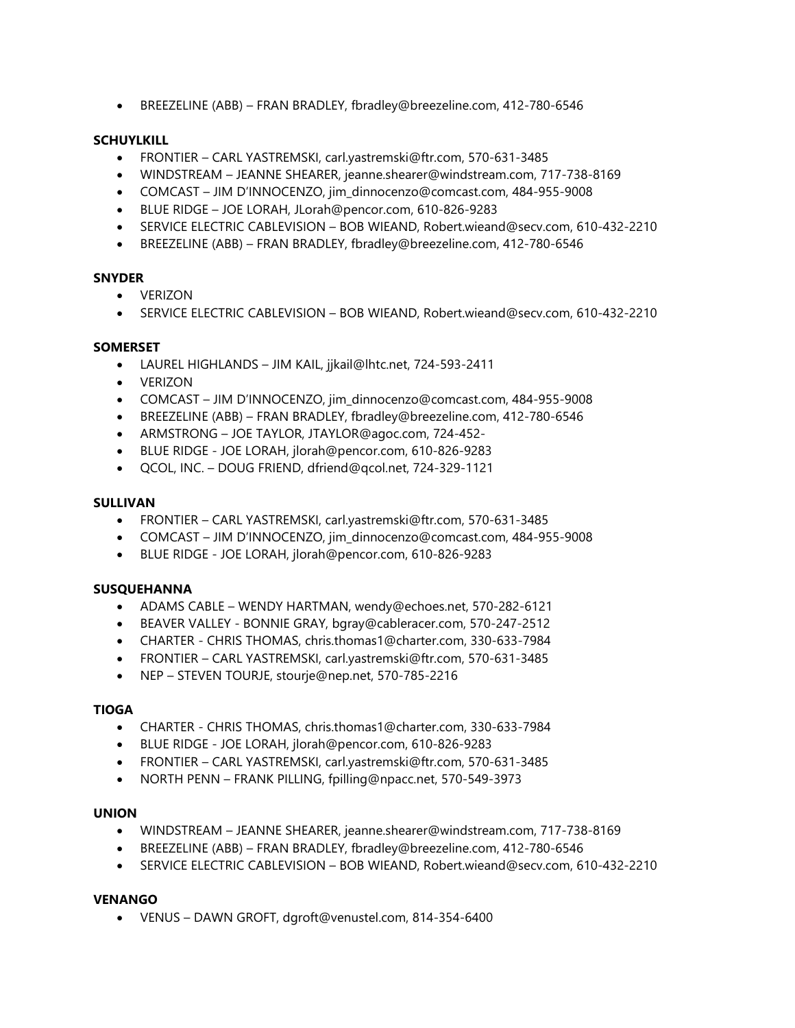• BREEZELINE (ABB) – FRAN BRADLEY, fbradley@breezeline.com, 412-780-6546

# **SCHUYLKILL**

- FRONTIER CARL YASTREMSKI, carl.yastremski@ftr.com, 570-631-3485
- WINDSTREAM JEANNE SHEARER, jeanne.shearer@windstream.com, 717-738-8169
- COMCAST JIM D'INNOCENZO, jim\_dinnocenzo@comcast.com, 484-955-9008
- BLUE RIDGE JOE LORAH, JLorah@pencor.com, 610-826-9283
- SERVICE ELECTRIC CABLEVISION BOB WIEAND, Robert.wieand@secv.com, 610-432-2210
- BREEZELINE (ABB) FRAN BRADLEY, fbradley@breezeline.com, 412-780-6546

### **SNYDER**

- VERIZON
- SERVICE ELECTRIC CABLEVISION BOB WIEAND, Robert.wieand@secv.com, 610-432-2210

#### **SOMERSET**

- LAUREL HIGHLANDS JIM KAIL, jjkail@lhtc.net, 724-593-2411
- VERIZON
- COMCAST JIM D'INNOCENZO, jim\_dinnocenzo@comcast.com, 484-955-9008
- BREEZELINE (ABB) FRAN BRADLEY, fbradley@breezeline.com, 412-780-6546
- ARMSTRONG JOE TAYLOR, JTAYLOR@agoc.com, 724-452-
- BLUE RIDGE JOE LORAH, jlorah@pencor.com, 610-826-9283
- QCOL, INC. DOUG FRIEND, dfriend@qcol.net, 724-329-1121

### **SULLIVAN**

- FRONTIER CARL YASTREMSKI, carl.yastremski@ftr.com, 570-631-3485
- COMCAST JIM D'INNOCENZO, jim\_dinnocenzo@comcast.com, 484-955-9008
- BLUE RIDGE JOE LORAH, jlorah@pencor.com, 610-826-9283

#### **SUSQUEHANNA**

- ADAMS CABLE WENDY HARTMAN, wendy@echoes.net, 570-282-6121
- BEAVER VALLEY BONNIE GRAY, bgray@cableracer.com, 570-247-2512
- CHARTER CHRIS THOMAS, chris.thomas1@charter.com, 330-633-7984
- FRONTIER CARL YASTREMSKI, carl.yastremski@ftr.com, 570-631-3485
- NEP STEVEN TOURJE, stourje@nep.net, 570-785-2216

#### **TIOGA**

- CHARTER CHRIS THOMAS, chris.thomas1@charter.com, 330-633-7984
- BLUE RIDGE JOE LORAH, jlorah@pencor.com, 610-826-9283
- FRONTIER CARL YASTREMSKI, carl.yastremski@ftr.com, 570-631-3485
- NORTH PENN FRANK PILLING, fpilling@npacc.net, 570-549-3973

#### **UNION**

- WINDSTREAM JEANNE SHEARER, jeanne.shearer@windstream.com, 717-738-8169
- BREEZELINE (ABB) FRAN BRADLEY, fbradley@breezeline.com, 412-780-6546
- SERVICE ELECTRIC CABLEVISION BOB WIEAND, Robert.wieand@secv.com, 610-432-2210

#### **VENANGO**

• VENUS – DAWN GROFT, dgroft@venustel.com, 814-354-6400